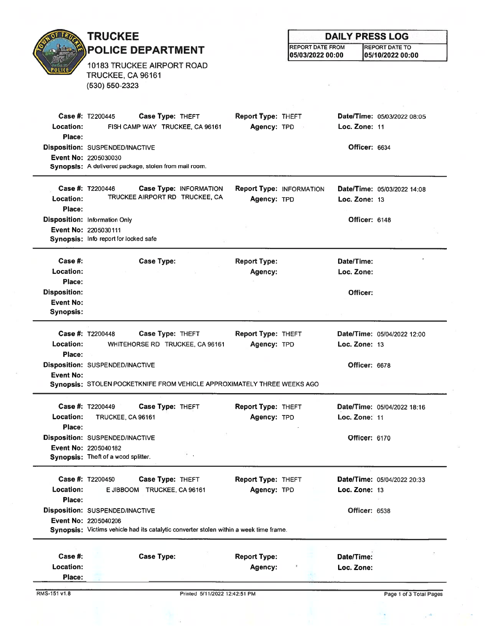|                                                      | <b>TRUCKEE</b><br><b>POLICE DEPARTMENT</b>                                                                                                               |                                                | <b>DAILY PRESS LOG</b>                      |                          |                                           |
|------------------------------------------------------|----------------------------------------------------------------------------------------------------------------------------------------------------------|------------------------------------------------|---------------------------------------------|--------------------------|-------------------------------------------|
|                                                      |                                                                                                                                                          |                                                | <b>REPORT DATE FROM</b><br>05/03/2022 00:00 |                          | <b>REPORT DATE TO</b><br>05/10/2022 00:00 |
|                                                      | 10183 TRUCKEE AIRPORT ROAD<br>TRUCKEE, CA 96161<br>(530) 550-2323                                                                                        |                                                |                                             |                          |                                           |
| Location:<br>Place:                                  | <b>Case #: T2200445</b><br>Case Type: THEFT<br>FISH CAMP WAY TRUCKEE, CA 96161                                                                           | <b>Report Type: THEFT</b><br>Agency: TPD       |                                             | Loc. Zone: 11            | Date/Time: 05/03/2022 08:05               |
|                                                      | Disposition: SUSPENDED/INACTIVE<br>Event No: 2205030030<br>Synopsis: A delivered package, stolen from mail room.                                         |                                                |                                             | Officer: 6634            |                                           |
|                                                      |                                                                                                                                                          |                                                |                                             |                          |                                           |
| Location:<br>Place:                                  | Case #: T2200446<br>Case Type: INFORMATION<br>TRUCKEE AIRPORT RD TRUCKEE, CA                                                                             | <b>Report Type: INFORMATION</b><br>Agency: TPD |                                             | Loc. Zone: 13            | Date/Time: 05/03/2022 14:08               |
|                                                      | <b>Disposition:</b> Information Only<br>Event No: 2205030111<br>Synopsis: Info report for locked safe                                                    |                                                |                                             | <b>Officer: 6148</b>     |                                           |
| Case 4:<br>Location:<br>Place:                       | <b>Case Type:</b>                                                                                                                                        | <b>Report Type:</b><br>Agency:                 |                                             | Date/Time:<br>Loc. Zone: |                                           |
| <b>Disposition:</b><br><b>Event No:</b><br>Synopsis: |                                                                                                                                                          |                                                |                                             | Officer:                 |                                           |
| Location:<br>Place:                                  | Case Type: THEFT<br>Case #: T2200448<br>WHITEHORSE RD TRUCKEE, CA 96161                                                                                  | Report Type: THEFT<br>Agency: TPD              |                                             | Loc. Zone: $13$          | Date/Time: 05/04/2022 12:00               |
| <b>Event No:</b>                                     | Disposition: SUSPENDED/INACTIVE                                                                                                                          |                                                |                                             | Officer: 6678            |                                           |
|                                                      | Synopsis: STOLEN POCKETKNIFE FROM VEHICLE APPROXIMATELY THREE WEEKS AGO                                                                                  |                                                |                                             |                          |                                           |
| Location:<br>Place:                                  | Case #: T2200449<br>Case Type: THEFT<br>TRUCKEE, CA 96161                                                                                                | <b>Report Type: THEFT</b><br>Agency: TPD       |                                             | Loc. Zone: 11            | Date/Time: 05/04/2022 18:16               |
|                                                      | Disposition: SUSPENDED/INACTIVE<br>Event No: 2205040182<br>$\mathbb{R}^n$ .<br>Synopsis: Theft of a wood splitter.                                       |                                                |                                             | <b>Officer: 6170</b>     |                                           |
| Location:<br>Place:                                  | Case #: T2200450<br>Case Type: THEFT<br>E JIBBOOM TRUCKEE, CA 96161                                                                                      | Report Type: THEFT<br>Agency: TPD              |                                             | Loc. Zone: 13            | Date/Time: 05/04/2022 20:33               |
|                                                      | Disposition: SUSPENDED/INACTIVE<br><b>Event No: 2205040206</b><br>Synopsis: Victims vehicle had its catalytic converter stolen within a week time frame. |                                                |                                             | <b>Officer: 6538</b>     |                                           |
| Case  #:<br>Location:                                | <b>Case Type:</b>                                                                                                                                        | <b>Report Type:</b><br>Agency:                 |                                             | Date/Time:<br>Loc. Zone: |                                           |
| Place:                                               |                                                                                                                                                          |                                                |                                             |                          |                                           |
| RMS-151 v1.8                                         | Printed 5/11/2022 12:42:51 PM                                                                                                                            |                                                |                                             |                          | Page 1 of 3 Total Pages                   |

 $\mathcal{L}_{\mathcal{D}}$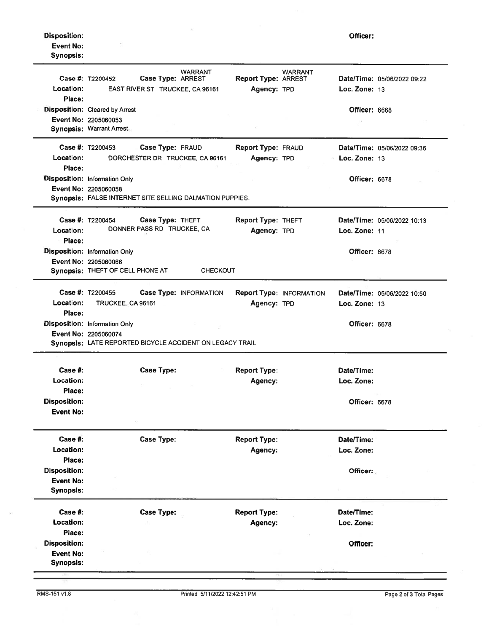Disposition: Officer: Event No: Synopsis:

|                            | <b>WARRANT</b>                                           |                            | <b>WARRANT</b>                  |                      |                             |  |  |
|----------------------------|----------------------------------------------------------|----------------------------|---------------------------------|----------------------|-----------------------------|--|--|
|                            | Case #: T2200452<br>Case Type: ARREST                    | <b>Report Type: ARREST</b> |                                 |                      | Date/Time: 05/06/2022 09:22 |  |  |
| Location:<br>Place:        | EAST RIVER ST TRUCKEE, CA 96161                          | Agency: TPD                |                                 | Loc. Zone: 13        |                             |  |  |
|                            | <b>Disposition:</b> Cleared by Arrest                    |                            |                                 | Officer: 6668        |                             |  |  |
|                            | <b>Event No: 2205060053</b>                              |                            |                                 |                      |                             |  |  |
|                            | <b>Synopsis: Warrant Arrest.</b>                         |                            |                                 |                      |                             |  |  |
|                            | Case #: T2200453<br>Case Type: FRAUD                     | Report Type: FRAUD         |                                 |                      | Date/Time: 05/06/2022 09:36 |  |  |
| <b>Location:</b><br>Place: | DORCHESTER DR TRUCKEE, CA 96161                          | Agency: TPD                |                                 | Loc. Zone: 13        |                             |  |  |
|                            | <b>Disposition: Information Only</b>                     |                            |                                 | <b>Officer: 6678</b> |                             |  |  |
|                            | <b>Event No: 2205060058</b>                              |                            |                                 |                      |                             |  |  |
|                            | Synopsis: FALSE INTERNET SITE SELLING DALMATION PUPPIES. |                            |                                 |                      |                             |  |  |
|                            | <b>Case #: T2200454</b><br>Case Type: THEFT              | <b>Report Type: THEFT</b>  |                                 |                      | Date/Time: 05/06/2022 10:13 |  |  |
| Location:                  | DONNER PASS RD TRUCKEE, CA                               | Agency: TPD                |                                 | Loc. Zone: 11        |                             |  |  |
| Place:                     |                                                          |                            |                                 |                      |                             |  |  |
|                            | <b>Disposition:</b> Information Only                     |                            |                                 | Officer: 6678        |                             |  |  |
|                            | Event No: 2205060066                                     |                            |                                 |                      |                             |  |  |
|                            | Synopsis: THEFT OF CELL PHONE AT<br><b>CHECKOUT</b>      |                            |                                 |                      |                             |  |  |
|                            | Case #: T2200455<br>Case Type: INFORMATION               |                            | <b>Report Type: INFORMATION</b> |                      | Date/Time: 05/06/2022 10:50 |  |  |
| Location:                  | TRUCKEE, CA 96161                                        | Agency: TPD                |                                 | Loc. Zone: 13        |                             |  |  |
| Place:                     |                                                          |                            |                                 |                      |                             |  |  |
|                            | <b>Disposition:</b> Information Only                     |                            |                                 | Officer: 6678        |                             |  |  |
|                            | Event No: 2205060074                                     |                            |                                 |                      |                             |  |  |
|                            | Synopsis: LATE REPORTED BICYCLE ACCIDENT ON LEGACY TRAIL |                            |                                 |                      |                             |  |  |
| Case #:                    | <b>Case Type:</b>                                        | <b>Report Type:</b>        |                                 | Date/Time:           |                             |  |  |
| Location:                  |                                                          | Agency:                    |                                 | Loc. Zone:           |                             |  |  |
| Place:                     |                                                          |                            |                                 |                      |                             |  |  |
| <b>Disposition:</b>        |                                                          |                            |                                 | Officer: 6678        |                             |  |  |
| <b>Event No:</b>           |                                                          |                            |                                 |                      |                             |  |  |
|                            |                                                          |                            |                                 |                      |                             |  |  |
| Case #:                    | <b>Case Type:</b>                                        | <b>Report Type:</b>        |                                 | Date/Time:           |                             |  |  |
| Location:                  |                                                          | Agency:                    |                                 | Loc. Zone:           |                             |  |  |
| Place:                     |                                                          |                            |                                 |                      |                             |  |  |
| <b>Disposition:</b>        |                                                          |                            |                                 | Officer:             |                             |  |  |
| <b>Event No:</b>           |                                                          |                            |                                 |                      |                             |  |  |
| <b>Synopsis:</b>           |                                                          |                            |                                 |                      |                             |  |  |
| Case #:                    | <b>Case Type:</b>                                        | <b>Report Type:</b>        |                                 | Date/Time:           |                             |  |  |
| Location:                  |                                                          | Agency:                    |                                 | Loc. Zone:           |                             |  |  |
| Place:                     |                                                          |                            |                                 |                      |                             |  |  |
| <b>Disposition:</b>        |                                                          |                            |                                 | Officer:             |                             |  |  |
| <b>Event No:</b>           |                                                          |                            |                                 |                      |                             |  |  |
| <b>Synopsis:</b>           |                                                          |                            |                                 |                      |                             |  |  |